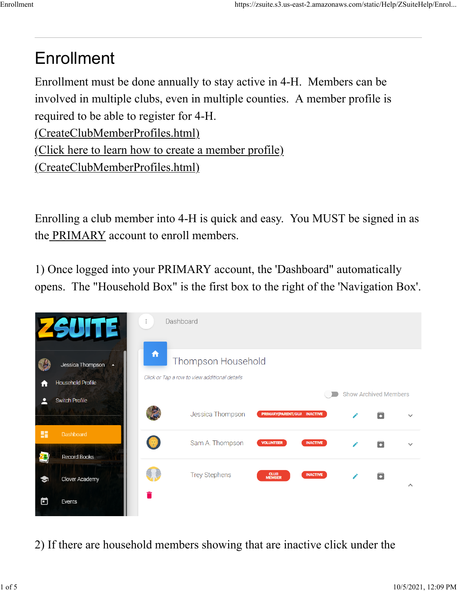## Enrollment

Enrollment must be done annually to stay active in 4-H. Members can be involved in multiple clubs, even in multiple counties. A member profile is required to be able to register for 4-H.

[\(CreateClubMemberProfiles.html\)](https://zsuite.s3.us-east-2.amazonaws.com/static/Help/ZSuiteHelp/CreateClubMemberProfiles.html)

[\(Click here to learn how to create a member profile\)](https://zsuite.s3.us-east-2.amazonaws.com/static/Help/ZSuiteHelp/CreateClubMemberProfiles.html)

[\(CreateClubMemberProfiles.html\)](https://zsuite.s3.us-east-2.amazonaws.com/static/Help/ZSuiteHelp/CreateClubMemberProfiles.html)

Enrolling a club member into 4-H is quick and easy. You MUST be signed in as the PRIMARY account to enroll members.

1) Once logged into your PRIMARY account, the 'Dashboard" automatically opens. The "Household Box" is the first box to the right of the 'Navigation Box'.



2) If there are household members showing that are inactive click under the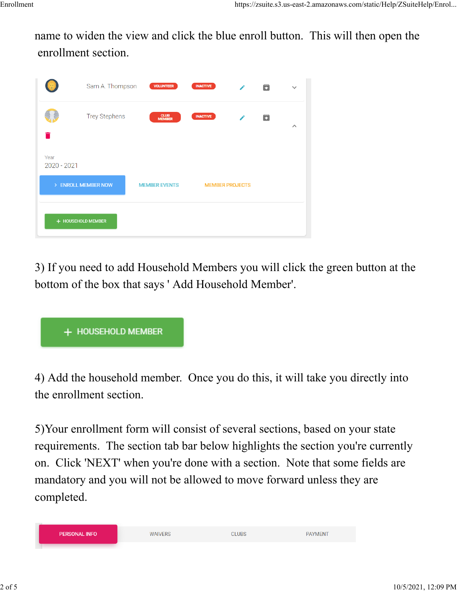name to widen the view and click the blue enroll button. This will then open the enrollment section.

|                                                                                             | Sam A. Thompson      | <b>VOLUNTEER</b>      | <b>INACTIVE</b> |  | О | $\checkmark$          |  |
|---------------------------------------------------------------------------------------------|----------------------|-----------------------|-----------------|--|---|-----------------------|--|
|                                                                                             | <b>Trey Stephens</b> | <b>CLUB</b><br>MEMBER | <b>INACTIVE</b> |  | Б | $\boldsymbol{\wedge}$ |  |
| Year<br>2020 - 2021                                                                         |                      |                       |                 |  |   |                       |  |
| > ENROLL MEMBER NOW<br><b>MEMBER EVENTS</b><br><b>MEMBER PROJECTS</b><br>+ HOUSEHOLD MEMBER |                      |                       |                 |  |   |                       |  |

3) If you need to add Household Members you will click the green button at the bottom of the box that says ' Add Household Member'.



4) Add the household member. Once you do this, it will take you directly into the enrollment section.

5)Your enrollment form will consist of several sections, based on your state requirements. The section tab bar below highlights the section you're currently on. Click 'NEXT' when you're done with a section. Note that some fields are mandatory and you will not be allowed to move forward unless they are completed.

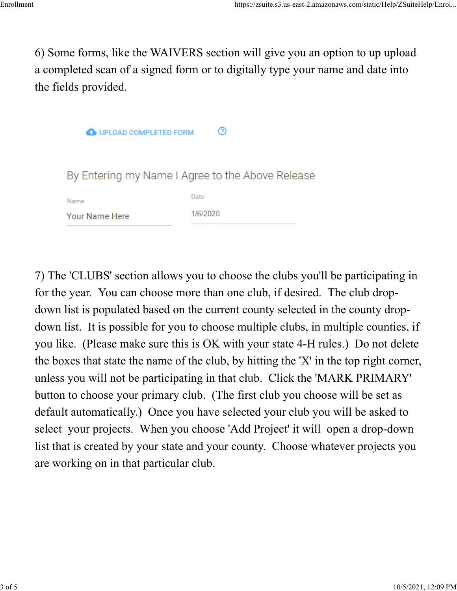6) Some forms, like the WAIVERS section will give you an option to up upload a completed scan of a signed form or to digitally type your name and date into the fields provided.

| <b>O UPLOAD COMPLETED FORM</b>                   | ⊘        |  |  |  |
|--------------------------------------------------|----------|--|--|--|
| By Entering my Name I Agree to the Above Release |          |  |  |  |
| Name                                             | Date     |  |  |  |
| Your Name Here                                   | 1/6/2020 |  |  |  |

7) The 'CLUBS' section allows you to choose the clubs you'll be participating in for the year. You can choose more than one club, if desired. The club dropdown list is populated based on the current county selected in the county dropdown list. It is possible for you to choose multiple clubs, in multiple counties, if you like. (Please make sure this is OK with your state 4-H rules.) Do not delete the boxes that state the name of the club, by hitting the 'X' in the top right corner, unless you will not be participating in that club. Click the 'MARK PRIMARY' button to choose your primary club. (The first club you choose will be set as default automatically.) Once you have selected your club you will be asked to select your projects. When you choose 'Add Project' it will open a drop-down list that is created by your state and your county. Choose whatever projects you are working on in that particular club.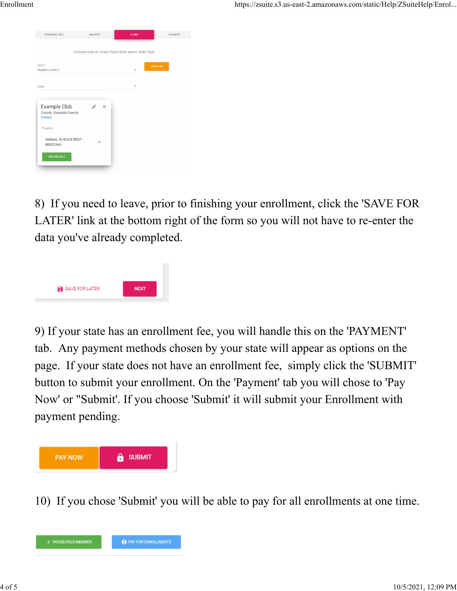| <b>WAIVERS</b>           | <b>CLUBS</b>          | <b>PAYMENT</b>                                 |
|--------------------------|-----------------------|------------------------------------------------|
|                          |                       |                                                |
|                          |                       |                                                |
|                          |                       | <b>ADD CLUB</b>                                |
|                          |                       |                                                |
| $\times$<br>$\mathsf{x}$ |                       |                                                |
|                          | ANIMAL SCIENCE/BEEF - | Choose one or more Clubs then press "Add Club" |

8) If you need to leave, prior to finishing your enrollment, click the 'SAVE FOR LATER' link at the bottom right of the form so you will not have to re-enter the data you've already completed.



9) If your state has an enrollment fee, you will handle this on the 'PAYMENT' tab. Any payment methods chosen by your state will appear as options on the page. If your state does not have an enrollment fee, simply click the 'SUBMIT' button to submit your enrollment. On the 'Payment' tab you will chose to 'Pay Now' or "Submit'. If you choose 'Submit' it will submit your Enrollment with payment pending.



10) If you chose 'Submit' you will be able to pay for all enrollments at one time.